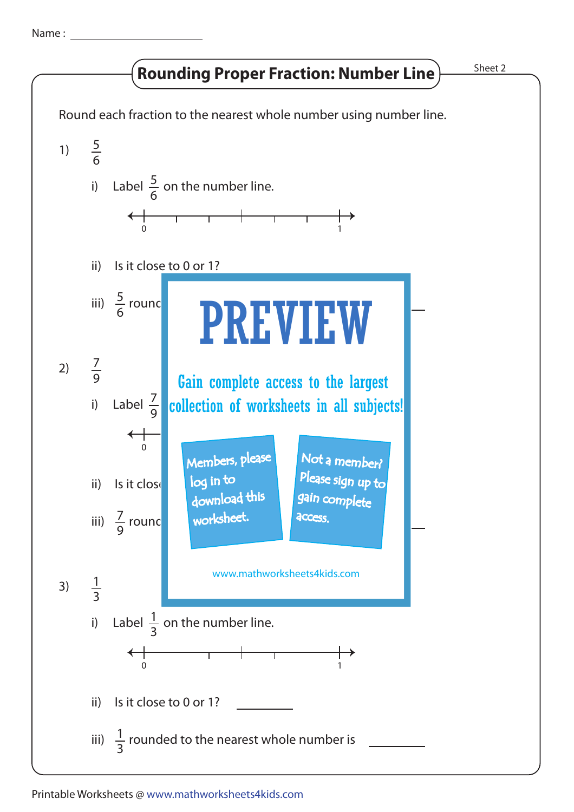Name :

## **Rounding Proper Fraction: Number Line**

Sheet 2